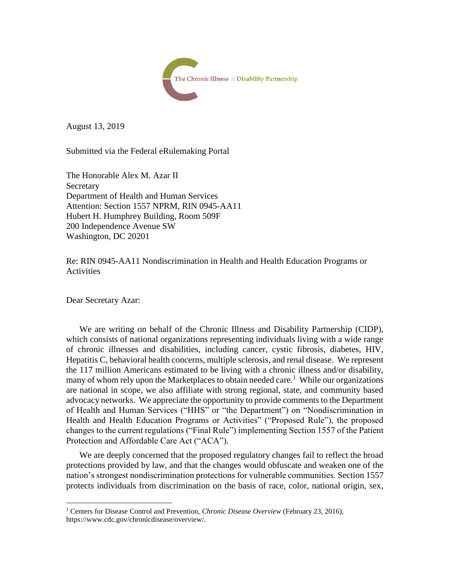

August 13, 2019

Submitted via the Federal eRulemaking Portal

The Honorable Alex M. Azar II Secretary Department of Health and Human Services Attention: Section 1557 NPRM, RIN 0945-AA11 Hubert H. Humphrey Building, Room 509F 200 Independence Avenue SW Washington, DC 20201

Re: RIN 0945-AA11 Nondiscrimination in Health and Health Education Programs or Activities

Dear Secretary Azar:

 $\overline{a}$ 

We are writing on behalf of the Chronic Illness and Disability Partnership (CIDP), which consists of national organizations representing individuals living with a wide range of chronic illnesses and disabilities, including cancer, cystic fibrosis, diabetes, HIV, Hepatitis C, behavioral health concerns, multiple sclerosis, and renal disease. We represent the 117 million Americans estimated to be living with a chronic illness and/or disability, many of whom rely upon the Marketplaces to obtain needed care.<sup>1</sup> While our organizations are national in scope, we also affiliate with strong regional, state, and community based advocacy networks. We appreciate the opportunity to provide comments to the Department of Health and Human Services ("HHS" or "the Department") on "Nondiscrimination in Health and Health Education Programs or Activities" ("Proposed Rule"), the proposed changes to the current regulations ("Final Rule") implementing Section 1557 of the Patient Protection and Affordable Care Act ("ACA").

We are deeply concerned that the proposed regulatory changes fail to reflect the broad protections provided by law, and that the changes would obfuscate and weaken one of the nation's strongest nondiscrimination protections for vulnerable communities. Section 1557 protects individuals from discrimination on the basis of race, color, national origin, sex,

<sup>1</sup> Centers for Disease Control and Prevention, *Chronic Disease Overview* (February 23, 2016), https://www.cdc.gov/chronicdisease/overview/.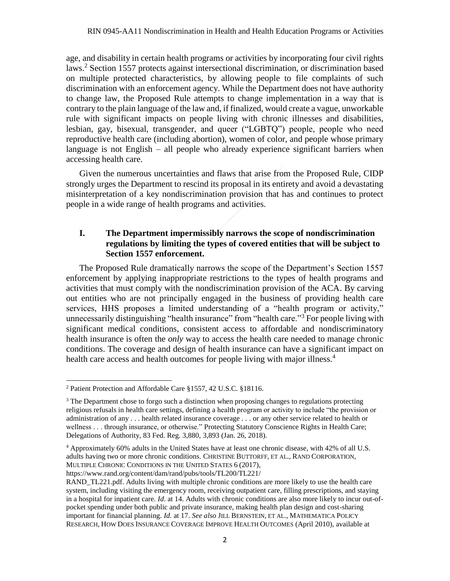age, and disability in certain health programs or activities by incorporating four civil rights laws. <sup>2</sup> Section 1557 protects against intersectional discrimination, or discrimination based on multiple protected characteristics, by allowing people to file complaints of such discrimination with an enforcement agency. While the Department does not have authority to change law, the Proposed Rule attempts to change implementation in a way that is contrary to the plain language of the law and, if finalized, would create a vague, unworkable rule with significant impacts on people living with chronic illnesses and disabilities, lesbian, gay, bisexual, transgender, and queer ("LGBTQ") people, people who need reproductive health care (including abortion), women of color, and people whose primary language is not English – all people who already experience significant barriers when accessing health care.

Given the numerous uncertainties and flaws that arise from the Proposed Rule, CIDP strongly urges the Department to rescind its proposal in its entirety and avoid a devastating misinterpretation of a key nondiscrimination provision that has and continues to protect people in a wide range of health programs and activities.

# **I. The Department impermissibly narrows the scope of nondiscrimination regulations by limiting the types of covered entities that will be subject to Section 1557 enforcement.**

The Proposed Rule dramatically narrows the scope of the Department's Section 1557 enforcement by applying inappropriate restrictions to the types of health programs and activities that must comply with the nondiscrimination provision of the ACA. By carving out entities who are not principally engaged in the business of providing health care services, HHS proposes a limited understanding of a "health program or activity," unnecessarily distinguishing "health insurance" from "health care."<sup>3</sup> For people living with significant medical conditions, consistent access to affordable and nondiscriminatory health insurance is often the *only* way to access the health care needed to manage chronic conditions. The coverage and design of health insurance can have a significant impact on health care access and health outcomes for people living with major illness.<sup>4</sup>

 $\overline{\phantom{a}}$ 

https://www.rand.org/content/dam/rand/pubs/tools/TL200/TL221/

<sup>&</sup>lt;sup>2</sup> Patient Protection and Affordable Care §1557, 42 U.S.C. §18116.

 $3$  The Department chose to forgo such a distinction when proposing changes to regulations protecting religious refusals in health care settings, defining a health program or activity to include "the provision or administration of any . . . health related insurance coverage . . . or any other service related to health or wellness . . . through insurance, or otherwise." Protecting Statutory Conscience Rights in Health Care; Delegations of Authority, 83 Fed. Reg. 3,880, 3,893 (Jan. 26, 2018).

<sup>4</sup> Approximately 60% adults in the United States have at least one chronic disease, with 42% of all U.S. adults having two or more chronic conditions. CHRISTINE BUTTORFF, ET AL., RAND CORPORATION, MULTIPLE CHRONIC CONDITIONS IN THE UNITED STATES 6 (2017),

RAND TL221.pdf. Adults living with multiple chronic conditions are more likely to use the health care system, including visiting the emergency room, receiving outpatient care, filling prescriptions, and staying in a hospital for inpatient care. *Id*. at 14. Adults with chronic conditions are also more likely to incur out-ofpocket spending under both public and private insurance, making health plan design and cost-sharing important for financial planning. *Id.* at 17. *See also* JILL BERNSTEIN, ET AL., MATHEMATICA POLICY RESEARCH, HOW DOES INSURANCE COVERAGE IMPROVE HEALTH OUTCOMES (April 2010), available at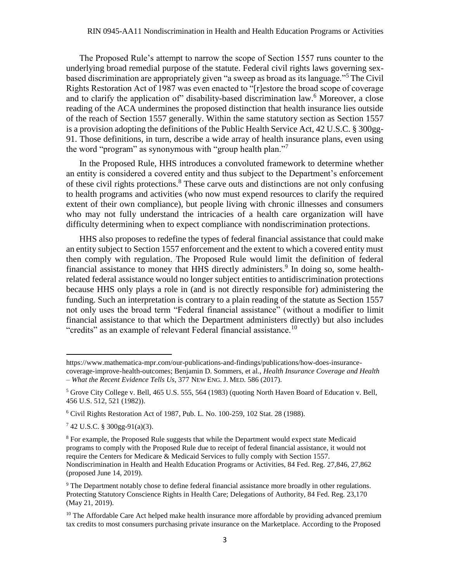The Proposed Rule's attempt to narrow the scope of Section 1557 runs counter to the underlying broad remedial purpose of the statute. Federal civil rights laws governing sexbased discrimination are appropriately given "a sweep as broad as its language."<sup>5</sup> The Civil Rights Restoration Act of 1987 was even enacted to "[r]estore the broad scope of coverage and to clarify the application of" disability-based discrimination law.<sup>6</sup> Moreover, a close reading of the ACA undermines the proposed distinction that health insurance lies outside of the reach of Section 1557 generally. Within the same statutory section as Section 1557 is a provision adopting the definitions of the Public Health Service Act, 42 U.S.C. § 300gg-91. Those definitions, in turn, describe a wide array of health insurance plans, even using the word "program" as synonymous with "group health plan."<sup>7</sup>

In the Proposed Rule, HHS introduces a convoluted framework to determine whether an entity is considered a covered entity and thus subject to the Department's enforcement of these civil rights protections.<sup>8</sup> These carve outs and distinctions are not only confusing to health programs and activities (who now must expend resources to clarify the required extent of their own compliance), but people living with chronic illnesses and consumers who may not fully understand the intricacies of a health care organization will have difficulty determining when to expect compliance with nondiscrimination protections.

HHS also proposes to redefine the types of federal financial assistance that could make an entity subject to Section 1557 enforcement and the extent to which a covered entity must then comply with regulation. The Proposed Rule would limit the definition of federal financial assistance to money that HHS directly administers.<sup>9</sup> In doing so, some healthrelated federal assistance would no longer subject entities to antidiscrimination protections because HHS only plays a role in (and is not directly responsible for) administering the funding. Such an interpretation is contrary to a plain reading of the statute as Section 1557 not only uses the broad term "Federal financial assistance" (without a modifier to limit financial assistance to that which the Department administers directly) but also includes "credits" as an example of relevant Federal financial assistance.<sup>10</sup>

https://www.mathematica-mpr.com/our-publications-and-findings/publications/how-does-insurancecoverage-improve-health-outcomes; Benjamin D. Sommers, et al., *Health Insurance Coverage and Health – What the Recent Evidence Tells Us*, 377 NEW ENG. J. MED. 586 (2017).

<sup>5</sup> Grove City College v. Bell, 465 U.S. 555, 564 (1983) (quoting North Haven Board of Education v. Bell, 456 U.S. 512, 521 (1982)).

 $6$  Civil Rights Restoration Act of 1987, Pub. L. No. 100-259, 102 Stat. 28 (1988).

<sup>7</sup> 42 U.S.C. § 300gg-91(a)(3).

<sup>&</sup>lt;sup>8</sup> For example, the Proposed Rule suggests that while the Department would expect state Medicaid programs to comply with the Proposed Rule due to receipt of federal financial assistance, it would not require the Centers for Medicare & Medicaid Services to fully comply with Section 1557. Nondiscrimination in Health and Health Education Programs or Activities, 84 Fed. Reg. 27,846, 27,862 (proposed June 14, 2019).

<sup>&</sup>lt;sup>9</sup> The Department notably chose to define federal financial assistance more broadly in other regulations. Protecting Statutory Conscience Rights in Health Care; Delegations of Authority, 84 Fed. Reg. 23,170 (May 21, 2019).

 $10$  The Affordable Care Act helped make health insurance more affordable by providing advanced premium tax credits to most consumers purchasing private insurance on the Marketplace. According to the Proposed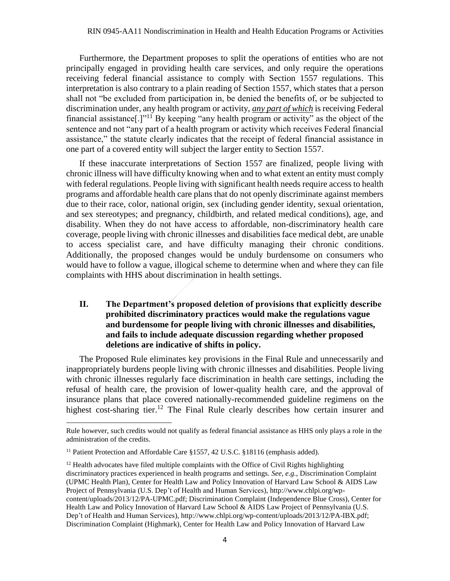Furthermore, the Department proposes to split the operations of entities who are not principally engaged in providing health care services, and only require the operations receiving federal financial assistance to comply with Section 1557 regulations. This interpretation is also contrary to a plain reading of Section 1557, which states that a person shall not "be excluded from participation in, be denied the benefits of, or be subjected to discrimination under, any health program or activity, *any part of which* is receiving Federal financial assistance[.]"<sup>11</sup> By keeping "any health program or activity" as the object of the sentence and not "any part of a health program or activity which receives Federal financial assistance," the statute clearly indicates that the receipt of federal financial assistance in one part of a covered entity will subject the larger entity to Section 1557.

If these inaccurate interpretations of Section 1557 are finalized, people living with chronic illness will have difficulty knowing when and to what extent an entity must comply with federal regulations. People living with significant health needs require access to health programs and affordable health care plans that do not openly discriminate against members due to their race, color, national origin, sex (including gender identity, sexual orientation, and sex stereotypes; and pregnancy, childbirth, and related medical conditions), age, and disability. When they do not have access to affordable, non-discriminatory health care coverage, people living with chronic illnesses and disabilities face medical debt, are unable to access specialist care, and have difficulty managing their chronic conditions. Additionally, the proposed changes would be unduly burdensome on consumers who would have to follow a vague, illogical scheme to determine when and where they can file complaints with HHS about discrimination in health settings.

# **II. The Department's proposed deletion of provisions that explicitly describe prohibited discriminatory practices would make the regulations vague and burdensome for people living with chronic illnesses and disabilities, and fails to include adequate discussion regarding whether proposed deletions are indicative of shifts in policy.**

The Proposed Rule eliminates key provisions in the Final Rule and unnecessarily and inappropriately burdens people living with chronic illnesses and disabilities. People living with chronic illnesses regularly face discrimination in health care settings, including the refusal of health care, the provision of lower-quality health care, and the approval of insurance plans that place covered nationally-recommended guideline regimens on the highest cost-sharing tier.<sup>12</sup> The Final Rule clearly describes how certain insurer and

Rule however, such credits would not qualify as federal financial assistance as HHS only plays a role in the administration of the credits.

<sup>&</sup>lt;sup>11</sup> Patient Protection and Affordable Care §1557, 42 U.S.C. §18116 (emphasis added).

<sup>&</sup>lt;sup>12</sup> Health advocates have filed multiple complaints with the Office of Civil Rights highlighting discriminatory practices experienced in health programs and settings. *See, e.g.*, Discrimination Complaint (UPMC Health Plan), Center for Health Law and Policy Innovation of Harvard Law School & AIDS Law Project of Pennsylvania (U.S. Dep't of Health and Human Services), [http://www.chlpi.org/wp](http://www.chlpi.org/wp-content/uploads/2013/12/PA-UPMC.pdf)[content/uploads/2013/12/PA-UPMC.pdf;](http://www.chlpi.org/wp-content/uploads/2013/12/PA-UPMC.pdf) Discrimination Complaint (Independence Blue Cross), Center for Health Law and Policy Innovation of Harvard Law School & AIDS Law Project of Pennsylvania (U.S. Dep't of Health and Human Services), [http://www.chlpi.org/wp-content/uploads/2013/12/PA-IBX.pdf;](http://www.chlpi.org/wp-content/uploads/2013/12/PA-IBX.pdf) Discrimination Complaint (Highmark), Center for Health Law and Policy Innovation of Harvard Law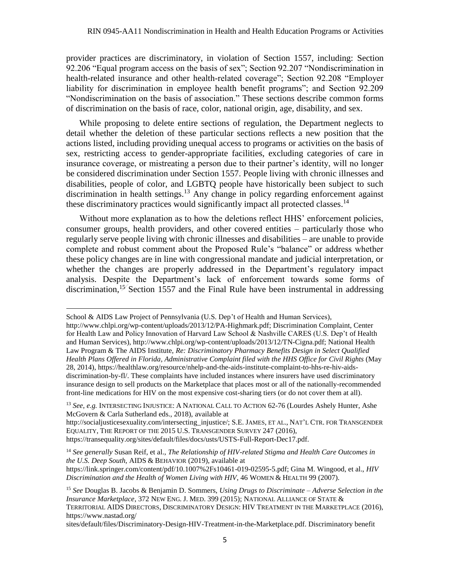provider practices are discriminatory, in violation of Section 1557, including: Section 92.206 "Equal program access on the basis of sex"; Section 92.207 "Nondiscrimination in health-related insurance and other health-related coverage"; Section 92.208 "Employer liability for discrimination in employee health benefit programs"; and Section 92.209 "Nondiscrimination on the basis of association." These sections describe common forms of discrimination on the basis of race, color, national origin, age, disability, and sex.

While proposing to delete entire sections of regulation, the Department neglects to detail whether the deletion of these particular sections reflects a new position that the actions listed, including providing unequal access to programs or activities on the basis of sex, restricting access to gender-appropriate facilities, excluding categories of care in insurance coverage, or mistreating a person due to their partner's identity, will no longer be considered discrimination under Section 1557. People living with chronic illnesses and disabilities, people of color, and LGBTQ people have historically been subject to such discrimination in health settings.<sup>13</sup> Any change in policy regarding enforcement against these discriminatory practices would significantly impact all protected classes.<sup>14</sup>

Without more explanation as to how the deletions reflect HHS' enforcement policies, consumer groups, health providers, and other covered entities – particularly those who regularly serve people living with chronic illnesses and disabilities – are unable to provide complete and robust comment about the Proposed Rule's "balance" or address whether these policy changes are in line with congressional mandate and judicial interpretation, or whether the changes are properly addressed in the Department's regulatory impact analysis. Despite the Department's lack of enforcement towards some forms of discrimination,<sup>15</sup> Section 1557 and the Final Rule have been instrumental in addressing

 $\overline{\phantom{a}}$ 

https://transequality.org/sites/default/files/docs/usts/USTS-Full-Report-Dec17.pdf.

School & AIDS Law Project of Pennsylvania (U.S. Dep't of Health and Human Services),

[http://www.chlpi.org/wp-content/uploads/2013/12/PA-Highmark.pdf;](http://www.chlpi.org/wp-content/uploads/2013/12/PA-Highmark.pdf) Discrimination Complaint, Center for Health Law and Policy Innovation of Harvard Law School & Nashville CARES (U.S. Dep't of Health and Human Services), http://www.chlpi.org/wp-content/uploads/2013/12/TN-Cigna.pdf; National Health Law Program & The AIDS Institute, *Re: Discriminatory Pharmacy Benefits Design in Select Qualified Health Plans Offered in Florida, Administrative Complaint filed with the HHS Office for Civil Rights* (May 28, 2014), https://healthlaw.org/resource/nhelp-and-the-aids-institute-complaint-to-hhs-re-hiv-aidsdiscrimination-by-fl/. These complaints have included instances where insurers have used discriminatory insurance design to sell products on the Marketplace that places most or all of the nationally-recommended front-line medications for HIV on the most expensive cost-sharing tiers (or do not cover them at all).

<sup>13</sup> *See, e.g.* INTERSECTING INJUSTICE: A NATIONAL CALL TO ACTION 62-76 (Lourdes Ashely Hunter, Ashe McGovern & Carla Sutherland eds., 2018), available at

http://socialjusticesexuality.com/intersecting\_injustic[e/;](http://socialjusticesexuality.com/intersecting_injustice/) S.E. JAMES, ET AL., NAT'L CTR. FOR TRANSGENDER EQUALITY, THE REPORT OF THE 2015 U.S. TRANSGENDER SURVEY 247 (2016),

<sup>14</sup> *See generally* Susan Reif, et al., *The Relationship of HIV-related Stigma and Health Care Outcomes in the U.S. Deep South,* AIDS & BEHAVIOR (2019), available at

https://link.springer.com/content/pdf/10.1007%2Fs10461-019-02595-5.pdf; Gina M. Wingood, et al., *HIV Discrimination and the Health of Women Living with HIV*, 46 WOMEN & HEALTH 99 (2007).

<sup>15</sup> *See* Douglas B. Jacobs & Benjamin D. Sommers, *Using Drugs to Discriminate – Adverse Selection in the Insurance Marketplace*, 372 NEW ENG. J. MED. 399 (2015); NATIONAL ALLIANCE OF STATE & TERRITORIAL AIDS DIRECTORS, DISCRIMINATORY DESIGN: HIV TREATMENT IN THE MARKETPLACE (2016), https://www.nastad.org/

sites/default/files/Discriminatory-Design-HIV-Treatment-in-the-Marketplace.pdf. Discriminatory benefit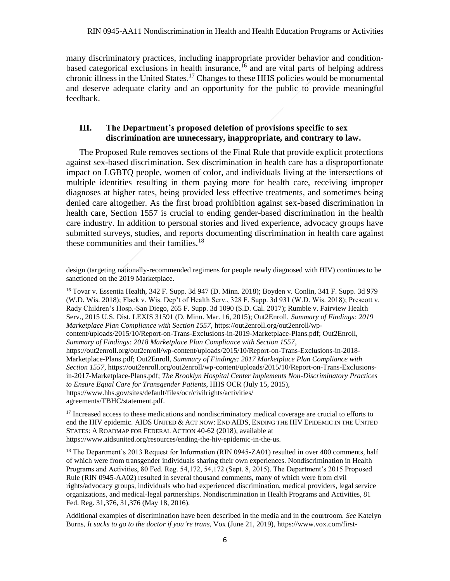many discriminatory practices, including inappropriate provider behavior and conditionbased categorical exclusions in health insurance, <sup>16</sup> and are vital parts of helping address chronic illness in the United States.<sup>17</sup> Changes to these HHS policies would be monumental and deserve adequate clarity and an opportunity for the public to provide meaningful feedback.

# **III. The Department's proposed deletion of provisions specific to sex discrimination are unnecessary, inappropriate, and contrary to law.**

The Proposed Rule removes sections of the Final Rule that provide explicit protections against sex-based discrimination. Sex discrimination in health care has a disproportionate impact on LGBTQ people, women of color, and individuals living at the intersections of multiple identities–resulting in them paying more for health care, receiving improper diagnoses at higher rates, being provided less effective treatments, and sometimes being denied care altogether. As the first broad prohibition against sex-based discrimination in health care, Section 1557 is crucial to ending gender-based discrimination in the health care industry. In addition to personal stories and lived experience, advocacy groups have submitted surveys, studies, and reports documenting discrimination in health care against these communities and their families.<sup>18</sup>

<sup>16</sup> Tovar v. Essentia Health, 342 F. Supp. 3d 947 (D. Minn. 2018); Boyden v. Conlin, 341 F. Supp. 3d 979 (W.D. Wis. 2018); Flack v. Wis. Dep't of Health Serv., 328 F. Supp. 3d 931 (W.D. Wis. 2018); Prescott v. Rady Children's Hosp.-San Diego, 265 F. Supp. 3d 1090 (S.D. Cal. 2017); Rumble v. Fairview Health Serv., 2015 U.S. Dist. LEXIS 31591 (D. Minn. Mar. 16, 2015); Out2Enroll, *Summary of Findings: 2019 Marketplace Plan Compliance with Section 1557*, https://out2enroll.org/out2enroll/wpcontent/uploads/2015/10/Report-on-Trans-Exclusions-in-2019-Marketplace-Plans.pdf; Out2Enroll, *Summary of Findings: 2018 Marketplace Plan Compliance with Section 1557*, https://out2enroll.org/out2enroll/wp-content/uploads/2015/10/Report-on-Trans-Exclusions-in-2018- Marketplace-Plans.pdf; Out2Enroll, *Summary of Findings: 2017 Marketplace Plan Compliance with Section 1557*, https://out2enroll.org/out2enroll/wp-content/uploads/2015/10/Report-on-Trans-Exclusionsin-2017-Marketplace-Plans.pdf; *The Brooklyn Hospital Center Implements Non-Discriminatory Practices to Ensure Equal Care for Transgender Patients*, HHS OCR (July 15, 2015), https://www.hhs.gov/sites/default/files/ocr/civilrights/activities/

agreements/TBHC/statement.pdf.

 $\overline{a}$ 

design (targeting nationally-recommended regimens for people newly diagnosed with HIV) continues to be sanctioned on the 2019 Marketplace.

<sup>&</sup>lt;sup>17</sup> Increased access to these medications and nondiscriminatory medical coverage are crucial to efforts to end the HIV epidemic. AIDS UNITED & ACT NOW: END AIDS, ENDING THE HIV EPIDEMIC IN THE UNITED STATES: A ROADMAP FOR FEDERAL ACTION 40-62 (2018), available at https://www.aidsunited.org/resources/ending-the-hiv-epidemic-in-the-us.

<sup>&</sup>lt;sup>18</sup> The Department's 2013 Request for Information (RIN 0945-ZA01) resulted in over 400 comments, half of which were from transgender individuals sharing their own experiences. Nondiscrimination in Health Programs and Activities, 80 Fed. Reg. 54,172, 54,172 (Sept. 8, 2015). The Department's 2015 Proposed Rule (RIN 0945-AA02) resulted in several thousand comments, many of which were from civil rights/advocacy groups, individuals who had experienced discrimination, medical providers, legal service organizations, and medical-legal partnerships. Nondiscrimination in Health Programs and Activities, 81 Fed. Reg. 31,376, 31,376 (May 18, 2016).

Additional examples of discrimination have been described in the media and in the courtroom. *See* Katelyn Burns, *It sucks to go to the doctor if you're trans*, Vox (June 21, 2019), https://www.vox.com/first-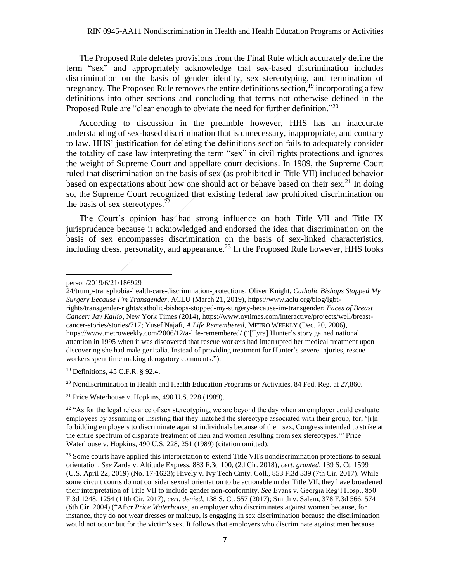The Proposed Rule deletes provisions from the Final Rule which accurately define the term "sex" and appropriately acknowledge that sex-based discrimination includes discrimination on the basis of gender identity, sex stereotyping, and termination of pregnancy. The Proposed Rule removes the entire definitions section,  $19$  incorporating a few definitions into other sections and concluding that terms not otherwise defined in the Proposed Rule are "clear enough to obviate the need for further definition."<sup>20</sup>

According to discussion in the preamble however, HHS has an inaccurate understanding of sex-based discrimination that is unnecessary, inappropriate, and contrary to law. HHS' justification for deleting the definitions section fails to adequately consider the totality of case law interpreting the term "sex" in civil rights protections and ignores the weight of Supreme Court and appellate court decisions. In 1989, the Supreme Court ruled that discrimination on the basis of sex (as prohibited in Title VII) included behavior based on expectations about how one should act or behave based on their sex.<sup>21</sup> In doing so, the Supreme Court recognized that existing federal law prohibited discrimination on the basis of sex stereotypes. $^{22}$ 

The Court's opinion has had strong influence on both Title VII and Title IX jurisprudence because it acknowledged and endorsed the idea that discrimination on the basis of sex encompasses discrimination on the basis of sex-linked characteristics, including dress, personality, and appearance.<sup>23</sup> In the Proposed Rule however, HHS looks

 $\overline{\phantom{a}}$ 

<sup>19</sup> Definitions, 45 C.F.R. § 92.4.

 $^{20}$  Nondiscrimination in Health and Health Education Programs or Activities, 84 Fed. Reg. at 27,860.

 $21$  Price Waterhouse v. Hopkins, 490 U.S. 228 (1989).

person/2019/6/21/186929

<sup>24/</sup>trump-transphobia-health-care-discrimination-protections; Oliver Knight, *Catholic Bishops Stopped My Surgery Because I'm Transgender*, ACLU (March 21, 2019), https://www.aclu.org/blog/lgbtrights/transgender-rights/catholic-bishops-stopped-my-surgery-because-im-transgender; *Faces of Breast Cancer: Jay Kallio*, New York Times (2014), https://www.nytimes.com/interactive/projects/well/breastcancer-stories/stories/717; Yusef Najafi, *A Life Remembered*, METRO WEEKLY (Dec. 20, 2006), https://www.metroweekly.com/2006/12/a-life-remembered/ ("[Tyra] Hunter's story gained national attention in 1995 when it was discovered that rescue workers had interrupted her medical treatment upon discovering she had male genitalia. Instead of providing treatment for Hunter's severe injuries, rescue workers spent time making derogatory comments.").

 $22$  "As for the legal relevance of sex stereotyping, we are beyond the day when an employer could evaluate employees by assuming or insisting that they matched the stereotype associated with their group, for, '[i]n forbidding employers to discriminate against individuals because of their sex, Congress intended to strike at the entire spectrum of disparate treatment of men and women resulting from sex stereotypes.'" Price Waterhouse v. Hopkins, 490 U.S. 228, 251 (1989) (citation omitted).

<sup>&</sup>lt;sup>23</sup> Some courts have applied this interpretation to extend Title VII's nondiscrimination protections to sexual orientation. *See* Zarda v. Altitude Express, 883 F.3d 100, (2d Cir. 2018), *cert. granted*, 139 S. Ct. 1599 (U.S. April 22, 2019) (No. 17-1623); Hively v. Ivy Tech Cmty. Coll., 853 F.3d 339 (7th Cir. 2017). While some circuit courts do not consider sexual orientation to be actionable under Title VII, they have broadened their interpretation of Title VII to include gender non-conformity. *See* Evans v. Georgia Reg'l Hosp., 850 F.3d 1248, 1254 (11th Cir. 2017), *cert. denied*, 138 S. Ct. 557 (2017); Smith v. Salem, 378 F.3d 566, 574 (6th Cir. 2004) ("After *Price Waterhouse*, an employer who discriminates against women because, for instance, they do not wear dresses or makeup, is engaging in sex discrimination because the discrimination would not occur but for the victim's sex. It follows that employers who discriminate against men because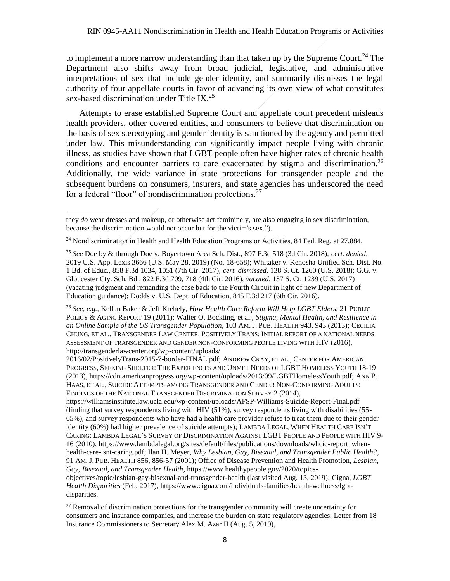to implement a more narrow understanding than that taken up by the Supreme Court.<sup>24</sup> The Department also shifts away from broad judicial, legislative, and administrative interpretations of sex that include gender identity, and summarily dismisses the legal authority of four appellate courts in favor of advancing its own view of what constitutes sex-based discrimination under Title IX.<sup>25</sup>

Attempts to erase established Supreme Court and appellate court precedent misleads health providers, other covered entities, and consumers to believe that discrimination on the basis of sex stereotyping and gender identity is sanctioned by the agency and permitted under law. This misunderstanding can significantly impact people living with chronic illness, as studies have shown that LGBT people often have higher rates of chronic health conditions and encounter barriers to care exacerbated by stigma and discrimination.<sup>26</sup> Additionally, the wide variance in state protections for transgender people and the subsequent burdens on consumers, insurers, and state agencies has underscored the need for a federal "floor" of nondiscrimination protections.<sup>27</sup>

 $\overline{a}$ 

<sup>26</sup> *See, e.g.*, Kellan Baker & Jeff Krehely, *How Health Care Reform Will Help LGBT Elders*, 21 PUBLIC POLICY & AGING REPORT 19 (2011); Walter O. Bockting, et al., *Stigma, Mental Health, and Resilience in an Online Sample of the US Transgender Population*, 103 AM. J. PUB. HEALTH 943, 943 (2013); CECILIA CHUNG, ET AL., TRANSGENDER LAW CENTER, POSITIVELY TRANS: INITIAL REPORT OF A NATIONAL NEEDS ASSESSMENT OF TRANSGENDER AND GENDER NON-CONFORMING PEOPLE LIVING WITH HIV (2016), http://transgenderlawcenter.org/wp-content/uploads/

2016/02/PositivelyTrans-2015-7-border-FINAL.pdf; ANDREW CRAY, ET AL., CENTER FOR AMERICAN PROGRESS, SEEKING SHELTER: THE EXPERIENCES AND UNMET NEEDS OF LGBT HOMELESS YOUTH 18-19 (2013), https://cdn.americanprogress.org/wp-content/uploads/2013/09/LGBTHomelessYouth.pdf; ANN P. HAAS, ET AL., SUICIDE ATTEMPTS AMONG TRANSGENDER AND GENDER NON-CONFORMING ADULTS: FINDINGS OF THE NATIONAL TRANSGENDER DISCRIMINATION SURVEY 2 (2014),

https://williamsinstitute.law.ucla.edu/wp-content/uploads/AFSP-Williams-Suicide-Report-Final.pdf (finding that survey respondents living with HIV (51%), survey respondents living with disabilities (55- 65%), and survey respondents who have had a health care provider refuse to treat them due to their gender identity (60%) had higher prevalence of suicide attempts); LAMBDA LEGAL, WHEN HEALTH CARE ISN'T CARING: LAMBDA LEGAL'S SURVEY OF DISCRIMINATION AGAINST LGBT PEOPLE AND PEOPLE WITH HIV 9- 16 (2010), https://www.lambdalegal.org/sites/default/files/publications/downloads/whcic-report\_whenhealth-care-isnt-caring.pdf; Ilan H. Meyer, *Why Lesbian, Gay, Bisexual, and Transgender Public Health?*, 91 AM. J. PUB. HEALTH 856, 856-57 (2001); Office of Disease Prevention and Health Promotion, *Lesbian, Gay, Bisexual, and Transgender Health*[, https://www.healthypeople.gov/2020/topics-](https://www.healthypeople.gov/2020/topics-objectives/topic/lesbian-gay-bisexual-and-transgender-health)

they *do* wear dresses and makeup, or otherwise act femininely, are also engaging in sex discrimination, because the discrimination would not occur but for the victim's sex.").

<sup>&</sup>lt;sup>24</sup> Nondiscrimination in Health and Health Education Programs or Activities, 84 Fed. Reg. at 27,884.

<sup>25</sup> *See* Doe by & through Doe v. Boyertown Area Sch. Dist., 897 F.3d 518 (3d Cir. 2018), *cert. denied*, 2019 U.S. App. Lexis 3666 (U.S. May 28, 2019) (No. 18-658); Whitaker v. Kenosha Unified Sch. Dist. No. 1 Bd. of Educ., 858 F.3d 1034, 1051 (7th Cir. 2017), *cert. dismissed*, 138 S. Ct. 1260 (U.S. 2018); G.G. v. Gloucester Cty. Sch. Bd., 822 F.3d 709, 718 (4th Cir. 2016), *vacated*, 137 S. Ct. 1239 (U.S. 2017) (vacating judgment and remanding the case back to the Fourth Circuit in light of new Department of Education guidance); Dodds v. U.S. Dept. of Education, 845 F.3d 217 (6th Cir. 2016).

[objectives/topic/lesbian-gay-bisexual-and-transgender-health](https://www.healthypeople.gov/2020/topics-objectives/topic/lesbian-gay-bisexual-and-transgender-health) (last visited Aug. 13, 2019); Cigna, *LGBT Health Disparities* (Feb. 2017), https://www.cigna.com/individuals-families/health-wellness/lgbtdisparities.

<sup>&</sup>lt;sup>27</sup> Removal of discrimination protections for the transgender community will create uncertainty for consumers and insurance companies, and increase the burden on state regulatory agencies. Letter from 18 Insurance Commissioners to Secretary Alex M. Azar II (Aug. 5, 2019),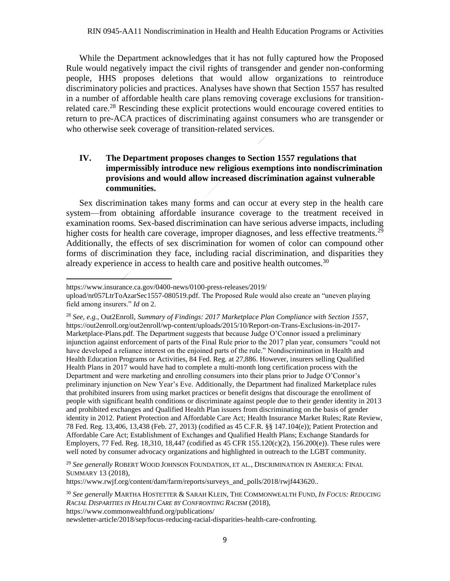While the Department acknowledges that it has not fully captured how the Proposed Rule would negatively impact the civil rights of transgender and gender non-conforming people, HHS proposes deletions that would allow organizations to reintroduce discriminatory policies and practices. Analyses have shown that Section 1557 has resulted in a number of affordable health care plans removing coverage exclusions for transitionrelated care.<sup>28</sup> Rescinding these explicit protections would encourage covered entities to return to pre-ACA practices of discriminating against consumers who are transgender or who otherwise seek coverage of transition-related services.

#### **IV. The Department proposes changes to Section 1557 regulations that impermissibly introduce new religious exemptions into nondiscrimination provisions and would allow increased discrimination against vulnerable communities.**

Sex discrimination takes many forms and can occur at every step in the health care system—from obtaining affordable insurance coverage to the treatment received in examination rooms. Sex-based discrimination can have serious adverse impacts, including higher costs for health care coverage, improper diagnoses, and less effective treatments.<sup>29</sup> Additionally, the effects of sex discrimination for women of color can compound other forms of discrimination they face, including racial discrimination, and disparities they already experience in access to health care and positive health outcomes.  $30$ 

 $\overline{\phantom{a}}$ 

<sup>28</sup> *See, e.g.*, Out2Enroll, *Summary of Findings: 2017 Marketplace Plan Compliance with Section 1557*, [https://out2enroll.org/out2enroll/wp-content/uploads/2015/10/Report-on-Trans-Exclusions-in-2017-](https://out2enroll.org/out2enroll/wp-content/uploads/2015/10/Report-on-Trans-Exclusions-in-2017-Marketplace-Plans.pdf) [Marketplace-Plans.pdf.](https://out2enroll.org/out2enroll/wp-content/uploads/2015/10/Report-on-Trans-Exclusions-in-2017-Marketplace-Plans.pdf) The Department suggests that because Judge O'Connor issued a preliminary injunction against enforcement of parts of the Final Rule prior to the 2017 plan year, consumers "could not have developed a reliance interest on the enjoined parts of the rule." Nondiscrimination in Health and Health Education Programs or Activities, 84 Fed. Reg. at 27,886. However, insurers selling Qualified Health Plans in 2017 would have had to complete a multi-month long certification process with the Department and were marketing and enrolling consumers into their plans prior to Judge O'Connor's preliminary injunction on New Year's Eve. Additionally, the Department had finalized Marketplace rules that prohibited insurers from using market practices or benefit designs that discourage the enrollment of people with significant health conditions or discriminate against people due to their gender identity in 2013 and prohibited exchanges and Qualified Health Plan issuers from discriminating on the basis of gender identity in 2012. Patient Protection and Affordable Care Act; Health Insurance Market Rules; Rate Review, 78 Fed. Reg. 13,406, 13,438 (Feb. 27, 2013) (codified as 45 C.F.R. §§ 147.104(e)); Patient Protection and Affordable Care Act; Establishment of Exchanges and Qualified Health Plans; Exchange Standards for Employers, 77 Fed. Reg. 18,310, 18,447 (codified as 45 CFR 155.120(c)(2), 156.200(e)). These rules were well noted by consumer advocacy organizations and highlighted in outreach to the LGBT community.

<sup>29</sup> *See generally* ROBERT WOOD JOHNSON FOUNDATION, ET AL., DISCRIMINATION IN AMERICA: FINAL SUMMARY 13 (2018),

[https://www.rwjf.org/content/dam/farm/reports/surveys\\_and\\_polls/2018/rwjf443620..](https://www.rwjf.org/content/dam/farm/reports/surveys_and_polls/2018/rwjf443620)

https://www.insurance.ca.gov/0400-news/0100-press-releases/2019/

upload/nr057LtrToAzarSec1557-080519.pdf. The Proposed Rule would also create an "uneven playing field among insurers." *Id* on 2.

<sup>30</sup> *See generally* MARTHA HOSTETTER & SARAH KLEIN, THE COMMONWEALTH FUND, *IN FOCUS: REDUCING RACIAL DISPARITIES IN HEALTH CARE BY CONFRONTING RACISM* (2018), https://www.commonwealthfund.org/publications/ newsletter-article/2018/sep/focus-reducing-racial-disparities-health-care-confronting.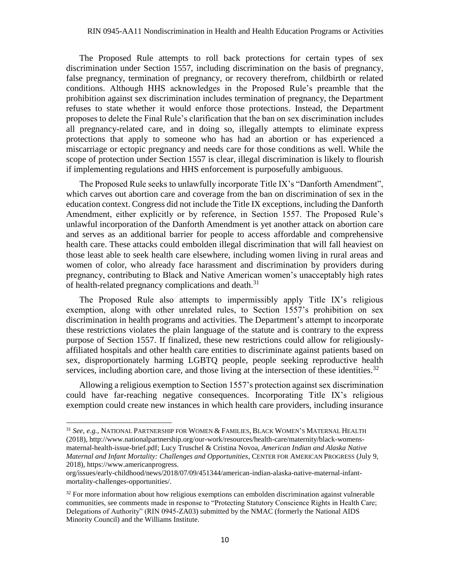The Proposed Rule attempts to roll back protections for certain types of sex discrimination under Section 1557, including discrimination on the basis of pregnancy, false pregnancy, termination of pregnancy, or recovery therefrom, childbirth or related conditions. Although HHS acknowledges in the Proposed Rule's preamble that the prohibition against sex discrimination includes termination of pregnancy, the Department refuses to state whether it would enforce those protections. Instead, the Department proposes to delete the Final Rule's clarification that the ban on sex discrimination includes all pregnancy-related care, and in doing so, illegally attempts to eliminate express protections that apply to someone who has had an abortion or has experienced a miscarriage or ectopic pregnancy and needs care for those conditions as well. While the scope of protection under Section 1557 is clear, illegal discrimination is likely to flourish if implementing regulations and HHS enforcement is purposefully ambiguous.

The Proposed Rule seeks to unlawfully incorporate Title IX's "Danforth Amendment", which carves out abortion care and coverage from the ban on discrimination of sex in the education context. Congress did not include the Title IX exceptions, including the Danforth Amendment, either explicitly or by reference, in Section 1557. The Proposed Rule's unlawful incorporation of the Danforth Amendment is yet another attack on abortion care and serves as an additional barrier for people to access affordable and comprehensive health care. These attacks could embolden illegal discrimination that will fall heaviest on those least able to seek health care elsewhere, including women living in rural areas and women of color, who already face harassment and discrimination by providers during pregnancy, contributing to Black and Native American women's unacceptably high rates of health-related pregnancy complications and death.<sup>31</sup>

The Proposed Rule also attempts to impermissibly apply Title IX's religious exemption, along with other unrelated rules, to Section 1557's prohibition on sex discrimination in health programs and activities. The Department's attempt to incorporate these restrictions violates the plain language of the statute and is contrary to the express purpose of Section 1557. If finalized, these new restrictions could allow for religiouslyaffiliated hospitals and other health care entities to discriminate against patients based on sex, disproportionately harming LGBTQ people, people seeking reproductive health services, including abortion care, and those living at the intersection of these identities.<sup>32</sup>

Allowing a religious exemption to Section 1557's protection against sex discrimination could have far-reaching negative consequences. Incorporating Title IX's religious exemption could create new instances in which health care providers, including insurance

<sup>31</sup> *See, e.g.*, NATIONAL PARTNERSHIP FOR WOMEN & FAMILIES, BLACK WOMEN'S MATERNAL HEALTH (2018)[, http://www.nationalpartnership.org/our-work/resources/health-care/maternity/black-womens](http://www.nationalpartnership.org/our-work/resources/health-care/maternity/black-womens-maternal-health-issue-brief.pdf)[maternal-health-issue-brief.pdf;](http://www.nationalpartnership.org/our-work/resources/health-care/maternity/black-womens-maternal-health-issue-brief.pdf) Lucy Truschel & Cristina Novoa, *American Indian and Alaska Native Maternal and Infant Mortality: Challenges and Opportunities*, CENTER FOR AMERICAN PROGRESS (July 9, 2018), https://www.americanprogress.

org/issues/early-childhood/news/2018/07/09/451344/american-indian-alaska-native-maternal-infantmortality-challenges-opportunities/.

 $32$  For more information about how religious exemptions can embolden discrimination against vulnerable communities, see comments made in response to "Protecting Statutory Conscience Rights in Health Care; Delegations of Authority" (RIN 0945-ZA03) submitted by the NMAC (formerly the National AIDS Minority Council) and the Williams Institute.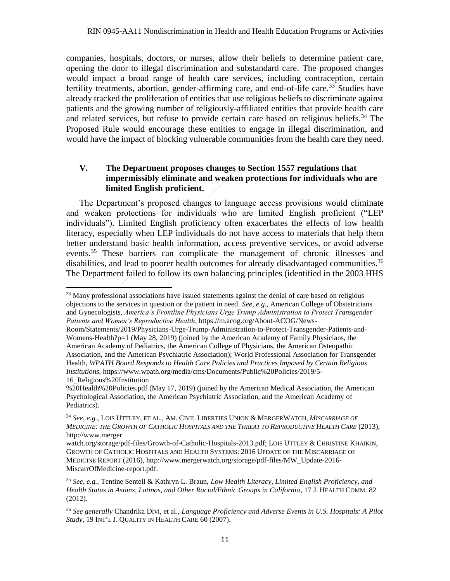companies, hospitals, doctors, or nurses, allow their beliefs to determine patient care, opening the door to illegal discrimination and substandard care. The proposed changes would impact a broad range of health care services, including contraception, certain fertility treatments, abortion, gender-affirming care, and end-of-life care.<sup>33</sup> Studies have already tracked the proliferation of entities that use religious beliefs to discriminate against patients and the growing number of religiously-affiliated entities that provide health care and related services, but refuse to provide certain care based on religious beliefs.<sup>34</sup> The Proposed Rule would encourage these entities to engage in illegal discrimination, and would have the impact of blocking vulnerable communities from the health care they need.

#### **V. The Department proposes changes to Section 1557 regulations that impermissibly eliminate and weaken protections for individuals who are limited English proficient.**

The Department's proposed changes to language access provisions would eliminate and weaken protections for individuals who are limited English proficient ("LEP individuals"). Limited English proficiency often exacerbates the effects of low health literacy, especially when LEP individuals do not have access to materials that help them better understand basic health information, access preventive services, or avoid adverse events.<sup>35</sup> These barriers can complicate the management of chronic illnesses and disabilities, and lead to poorer health outcomes for already disadvantaged communities.<sup>36</sup> The Department failed to follow its own balancing principles (identified in the 2003 HHS

<sup>&</sup>lt;sup>33</sup> Many professional associations have issued statements against the denial of care based on religious objections to the services in question or the patient in need. *See, e.g.,* American College of Obstetricians and Gynecologists, *America's Frontline Physicians Urge Trump Administration to Protect Transgender Patients and Women's Reproductive Health*[, https://m.acog.org/About-ACOG/News-](https://m.acog.org/About-ACOG/News-Room/Statements/2019/Physicians-Urge-Trump-Administration-to-Protect-Transgender-Patients-and-Womens-Health?p=1)

[Room/Statements/2019/Physicians-Urge-Trump-Administration-to-Protect-Transgender-Patients-and-](https://m.acog.org/About-ACOG/News-Room/Statements/2019/Physicians-Urge-Trump-Administration-to-Protect-Transgender-Patients-and-Womens-Health?p=1)[Womens-Health?p=1](https://m.acog.org/About-ACOG/News-Room/Statements/2019/Physicians-Urge-Trump-Administration-to-Protect-Transgender-Patients-and-Womens-Health?p=1) (May 28, 2019) (joined by the American Academy of Family Physicians, the American Academy of Pediatrics, the American College of Physicians, the American Osteopathic Association, and the American Psychiatric Association); World Professional Association for Transgender Health, *WPATH Board Responds to Health Care Policies and Practices Imposed by Certain Religious Institutions*, https://www.wpath.org/media/cms/Documents/Public%20Policies/2019/5- 16\_Religious%20Institution

<sup>%20</sup>Health%20Policies.pdf (May 17, 2019) (joined by the American Medical Association, the American Psychological Association, the American Psychiatric Association, and the American Academy of Pediatrics).

<sup>34</sup> *See*, *e.g.*, LOIS UTTLEY, ET AL., AM. CIVIL LIBERTIES UNION & MERGERWATCH, *MISCARRIAGE OF MEDICINE: THE GROWTH OF CATHOLIC HOSPITALS AND THE THREAT TO REPRODUCTIVE HEALTH CARE* (2013), http://www.merger

watch.org/storage/pdf-files/Growth-of-Catholic-Hospitals-2013.pdf; LOIS UTTLEY & CHRISTINE KHAIKIN, GROWTH OF CATHOLIC HOSPITALS AND HEALTH SYSTEMS: 2016 UPDATE OF THE MISCARRIAGE OF MEDICINE REPORT (2016), [http://www.mergerwatch.org/storage/pdf-files/MW\\_Update-2016-](http://www.mergerwatch.org/storage/pdf-files/MW_Update-2016-MiscarrOfMedicine-report.pdf) [MiscarrOfMedicine-report.pdf.](http://www.mergerwatch.org/storage/pdf-files/MW_Update-2016-MiscarrOfMedicine-report.pdf)

<sup>35</sup> *See, e.g.*, Tentine Sentell & Kathryn L. Braun, *Low Health Literacy, Limited English Proficiency, and Health Status in Asians, Latinos, and Other Racial/Ethnic Groups in California*, 17 J. HEALTH COMM. 82 (2012).

<sup>36</sup> *See generally* Chandrika Divi, et al., *Language Proficiency and Adverse Events in U.S. Hospitals: A Pilot Study*, 19 INT'L J. QUALITY IN HEALTH CARE 60 (2007).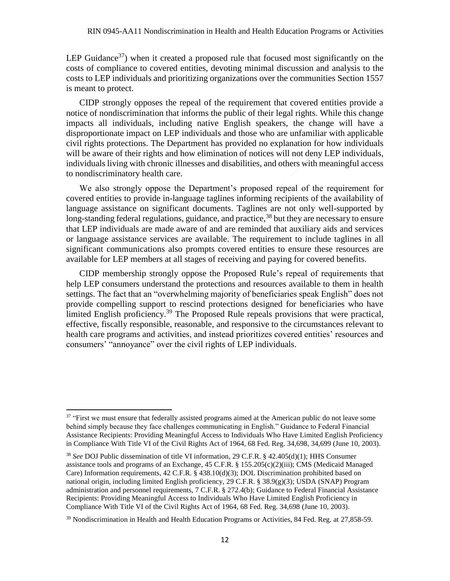LEP Guidance<sup>37</sup>) when it created a proposed rule that focused most significantly on the costs of compliance to covered entities, devoting minimal discussion and analysis to the costs to LEP individuals and prioritizing organizations over the communities Section 1557 is meant to protect.

CIDP strongly opposes the repeal of the requirement that covered entities provide a notice of nondiscrimination that informs the public of their legal rights. While this change impacts all individuals, including native English speakers, the change will have a disproportionate impact on LEP individuals and those who are unfamiliar with applicable civil rights protections. The Department has provided no explanation for how individuals will be aware of their rights and how elimination of notices will not deny LEP individuals, individuals living with chronic illnesses and disabilities, and others with meaningful access to nondiscriminatory health care.

We also strongly oppose the Department's proposed repeal of the requirement for covered entities to provide in-language taglines informing recipients of the availability of language assistance on significant documents. Taglines are not only well-supported by long-standing federal regulations, guidance, and practice,<sup>38</sup> but they are necessary to ensure that LEP individuals are made aware of and are reminded that auxiliary aids and services or language assistance services are available. The requirement to include taglines in all significant communications also prompts covered entities to ensure these resources are available for LEP members at all stages of receiving and paying for covered benefits.

CIDP membership strongly oppose the Proposed Rule's repeal of requirements that help LEP consumers understand the protections and resources available to them in health settings. The fact that an "overwhelming majority of beneficiaries speak English" does not provide compelling support to rescind protections designed for beneficiaries who have limited English proficiency.<sup>39</sup> The Proposed Rule repeals provisions that were practical, effective, fiscally responsible, reasonable, and responsive to the circumstances relevant to health care programs and activities, and instead prioritizes covered entities' resources and consumers' "annoyance" over the civil rights of LEP individuals.

 $\overline{\phantom{a}}$ 

 $37$  "First we must ensure that federally assisted programs aimed at the American public do not leave some behind simply because they face challenges communicating in English." Guidance to Federal Financial Assistance Recipients: Providing Meaningful Access to Individuals Who Have Limited English Proficiency in Compliance With Title VI of the Civil Rights Act of 1964, 68 Fed. Reg. 34,698, 34,699 (June 10, 2003).

<sup>38</sup> *See* DOJ Public dissemination of title VI information, 29 C.F.R. § 42.405(d)(1); HHS Consumer assistance tools and programs of an Exchange, 45 C.F.R. § 155.205(c)(2)(iii); CMS (Medicaid Managed Care) Information requirements, 42 C.F.R. § 438.10(d)(3); DOL Discrimination prohibited based on national origin, including limited English proficiency, 29 C.F.R. § 38.9(g)(3); USDA (SNAP) Program administration and personnel requirements, 7 C.F.R. § 272.4(b); Guidance to Federal Financial Assistance Recipients: Providing Meaningful Access to Individuals Who Have Limited English Proficiency in Compliance With Title VI of the Civil Rights Act of 1964, 68 Fed. Reg. 34,698 (June 10, 2003).

<sup>&</sup>lt;sup>39</sup> Nondiscrimination in Health and Health Education Programs or Activities, 84 Fed. Reg. at 27,858-59.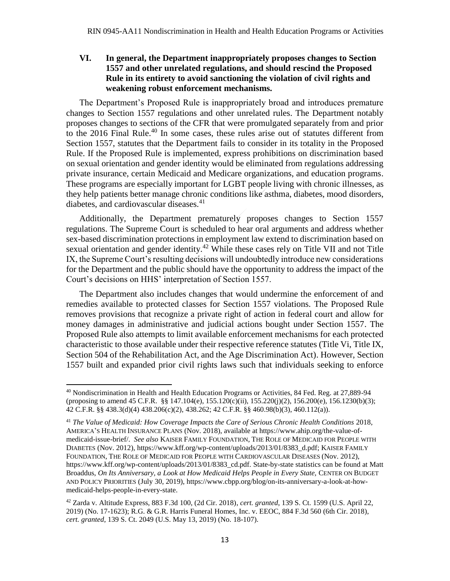## **VI. In general, the Department inappropriately proposes changes to Section 1557 and other unrelated regulations, and should rescind the Proposed Rule in its entirety to avoid sanctioning the violation of civil rights and weakening robust enforcement mechanisms.**

The Department's Proposed Rule is inappropriately broad and introduces premature changes to Section 1557 regulations and other unrelated rules. The Department notably proposes changes to sections of the CFR that were promulgated separately from and prior to the 2016 Final Rule.<sup>40</sup> In some cases, these rules arise out of statutes different from Section 1557, statutes that the Department fails to consider in its totality in the Proposed Rule. If the Proposed Rule is implemented, express prohibitions on discrimination based on sexual orientation and gender identity would be eliminated from regulations addressing private insurance, certain Medicaid and Medicare organizations, and education programs. These programs are especially important for LGBT people living with chronic illnesses, as they help patients better manage chronic conditions like asthma, diabetes, mood disorders, diabetes, and cardiovascular diseases.<sup>41</sup>

Additionally, the Department prematurely proposes changes to Section 1557 regulations. The Supreme Court is scheduled to hear oral arguments and address whether sex-based discrimination protections in employment law extend to discrimination based on sexual orientation and gender identity.<sup>42</sup> While these cases rely on Title VII and not Title IX, the Supreme Court's resulting decisions will undoubtedly introduce new considerations for the Department and the public should have the opportunity to address the impact of the Court's decisions on HHS' interpretation of Section 1557.

The Department also includes changes that would undermine the enforcement of and remedies available to protected classes for Section 1557 violations. The Proposed Rule removes provisions that recognize a private right of action in federal court and allow for money damages in administrative and judicial actions bought under Section 1557. The Proposed Rule also attempts to limit available enforcement mechanisms for each protected characteristic to those available under their respective reference statutes (Title Vi, Title IX, Section 504 of the Rehabilitation Act, and the Age Discrimination Act). However, Section 1557 built and expanded prior civil rights laws such that individuals seeking to enforce

 $\overline{\phantom{a}}$ 

<sup>40</sup> Nondiscrimination in Health and Health Education Programs or Activities, 84 Fed. Reg. at 27,889-94 (proposing to amend 45 C.F.R. §§ 147.104(e), 155.120(c)(ii), 155.220(j)(2), 156.200(e), 156.1230(b)(3); 42 C.F.R. §§ 438.3(d)(4) 438.206(c)(2), 438.262; 42 C.F.R. §§ 460.98(b)(3), 460.112(a)).

<sup>&</sup>lt;sup>41</sup> The Value of Medicaid: How Coverage Impacts the Care of Serious Chronic Health Conditions 2018, AMERICA'S HEALTH INSURANCE PLANS (Nov. 2018), available at https://www.ahip.org/the-value-ofmedicaid-issue-brief/. *See also* KAISER FAMILY FOUNDATION, THE ROLE OF MEDICAID FOR PEOPLE WITH DIABETES (Nov. 2012), https://www.kff.org/wp-content/uploads/2013/01/8383\_d.pdf; KAISER FAMILY FOUNDATION, THE ROLE OF MEDICAID FOR PEOPLE WITH CARDIOVASCULAR DISEASES (Nov. 2012), https://www.kff.org/wp-content/uploads/2013/01/8383\_cd.pdf. State-by-state statistics can be found at Matt Broaddus, *On Its Anniversary, a Look at How Medicaid Helps People in Every State, CENTER ON BUDGET* AND POLICY PRIORITIES (July 30, 2019), https://www.cbpp.org/blog/on-its-anniversary-a-look-at-howmedicaid-helps-people-in-every-state.

<sup>42</sup> Zarda v. Altitude Express, 883 F.3d 100, (2d Cir. 2018), *cert. granted*, 139 S. Ct. 1599 (U.S. April 22, 2019) (No. 17-1623); R.G. & G.R. Harris Funeral Homes, Inc. v. EEOC, 884 F.3d 560 (6th Cir. 2018), *cert. granted*, 139 S. Ct. 2049 (U.S. May 13, 2019) (No. 18-107).